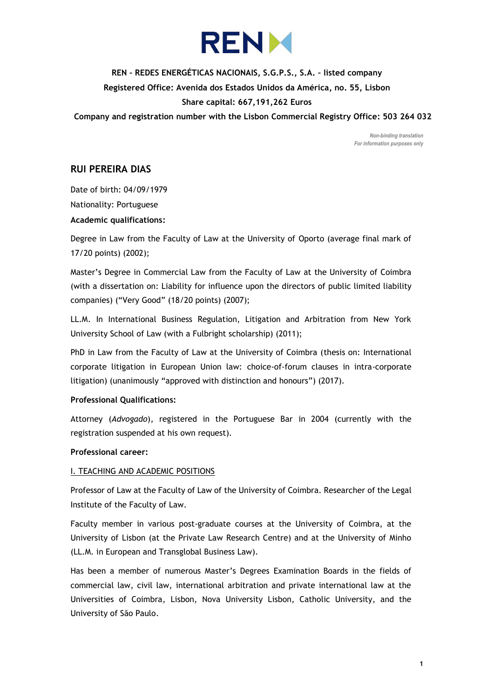

**REN – REDES ENERGÉTICAS NACIONAIS, S.G.P.S., S.A. – listed company Registered Office: Avenida dos Estados Unidos da América, no. 55, Lisbon Share capital: 667,191,262 Euros**

**Company and registration number with the Lisbon Commercial Registry Office: 503 264 032**

*Non-binding translation For information purposes only*

# **RUI PEREIRA DIAS**

Date of birth: 04/09/1979 Nationality: Portuguese

## **Academic qualifications:**

Degree in Law from the Faculty of Law at the University of Oporto (average final mark of 17/20 points) (2002);

Master's Degree in Commercial Law from the Faculty of Law at the University of Coimbra (with a dissertation on: Liability for influence upon the directors of public limited liability companies) ("Very Good" (18/20 points) (2007);

LL.M. In International Business Regulation, Litigation and Arbitration from New York University School of Law (with a Fulbright scholarship) (2011);

PhD in Law from the Faculty of Law at the University of Coimbra (thesis on: International corporate litigation in European Union law: choice-of-forum clauses in intra-corporate litigation) (unanimously "approved with distinction and honours") (2017).

## **Professional Qualifications:**

Attorney (*Advogado*), registered in the Portuguese Bar in 2004 (currently with the registration suspended at his own request).

## **Professional career:**

## I. TEACHING AND ACADEMIC POSITIONS

Professor of Law at the Faculty of Law of the University of Coimbra. Researcher of the Legal Institute of the Faculty of Law.

Faculty member in various post-graduate courses at the University of Coimbra, at the University of Lisbon (at the Private Law Research Centre) and at the University of Minho (LL.M. in European and Transglobal Business Law).

Has been a member of numerous Master's Degrees Examination Boards in the fields of commercial law, civil law, international arbitration and private international law at the Universities of Coimbra, Lisbon, Nova University Lisbon, Catholic University, and the University of São Paulo.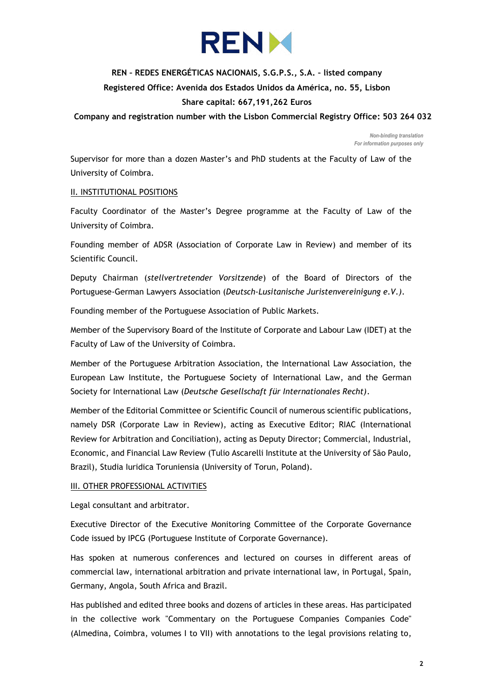

**REN – REDES ENERGÉTICAS NACIONAIS, S.G.P.S., S.A. – listed company Registered Office: Avenida dos Estados Unidos da América, no. 55, Lisbon Share capital: 667,191,262 Euros**

**Company and registration number with the Lisbon Commercial Registry Office: 503 264 032**

*Non-binding translation For information purposes only*

Supervisor for more than a dozen Master's and PhD students at the Faculty of Law of the University of Coimbra.

## II. INSTITUTIONAL POSITIONS

Faculty Coordinator of the Master's Degree programme at the Faculty of Law of the University of Coimbra.

Founding member of ADSR (Association of Corporate Law in Review) and member of its Scientific Council.

Deputy Chairman (*stellvertretender Vorsitzende*) of the Board of Directors of the Portuguese-German Lawyers Association (*Deutsch-Lusitanische Juristenvereinigung e.V.)*.

Founding member of the Portuguese Association of Public Markets.

Member of the Supervisory Board of the Institute of Corporate and Labour Law (IDET) at the Faculty of Law of the University of Coimbra.

Member of the Portuguese Arbitration Association, the International Law Association, the European Law Institute, the Portuguese Society of International Law, and the German Society for International Law (*Deutsche Gesellschaft für Internationales Recht)*.

Member of the Editorial Committee or Scientific Council of numerous scientific publications, namely DSR (Corporate Law in Review), acting as Executive Editor; RIAC (International Review for Arbitration and Conciliation), acting as Deputy Director; Commercial, Industrial, Economic, and Financial Law Review (Tulio Ascarelli Institute at the University of São Paulo, Brazil), Studia Iuridica Toruniensia (University of Torun, Poland).

## III. OTHER PROFESSIONAL ACTIVITIES

Legal consultant and arbitrator.

Executive Director of the Executive Monitoring Committee of the Corporate Governance Code issued by IPCG (Portuguese Institute of Corporate Governance).

Has spoken at numerous conferences and lectured on courses in different areas of commercial law, international arbitration and private international law, in Portugal, Spain, Germany, Angola, South Africa and Brazil.

Has published and edited three books and dozens of articles in these areas. Has participated in the collective work "Commentary on the Portuguese Companies Companies Code" (Almedina, Coimbra, volumes I to VII) with annotations to the legal provisions relating to,